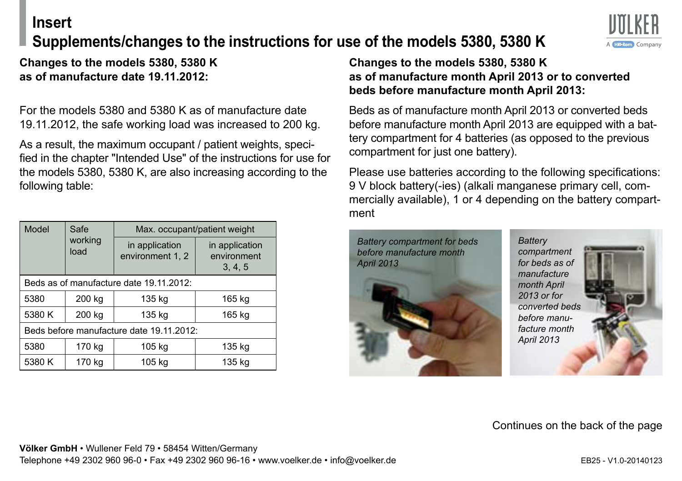## **Insert**

# **Supplements/changes to the instructions for use of the models 5380, 5380 K**



**Changes to the models 5380, 5380 K as of manufacture date 19.11.2012:**

For the models 5380 and 5380 K as of manufacture date 19.11.2012, the safe working load was increased to 200 kg.

As a result, the maximum occupant / patient weights, specified in the chapter "Intended Use" of the instructions for use for the models 5380, 5380 K, are also increasing according to the following table:

| Model                                    | Safe<br>working<br>load | Max. occupant/patient weight       |                                          |
|------------------------------------------|-------------------------|------------------------------------|------------------------------------------|
|                                          |                         | in application<br>environment 1, 2 | in application<br>environment<br>3, 4, 5 |
| Beds as of manufacture date 19.11.2012:  |                         |                                    |                                          |
| 5380                                     | 200 kg                  | 135 kg                             | 165 kg                                   |
| 5380 K                                   | 200 kg                  | 135 kg                             | 165 kg                                   |
| Beds before manufacture date 19.11.2012: |                         |                                    |                                          |
| 5380                                     | 170 kg                  | 105 kg                             | 135 kg                                   |
| 5380 K                                   | 170 kg                  | 105 kg                             | 135 kg                                   |

#### **Changes to the models 5380, 5380 K as of manufacture month April 2013 or to converted beds before manufacture month April 2013:**

Beds as of manufacture month April 2013 or converted beds before manufacture month April 2013 are equipped with a battery compartment for 4 batteries (as opposed to the previous compartment for just one battery).

Please use batteries according to the following specifications: 9 V block battery(-ies) (alkali manganese primary cell, commercially available), 1 or 4 depending on the battery compartment



*converted beds* 



### Continues on the back of the page